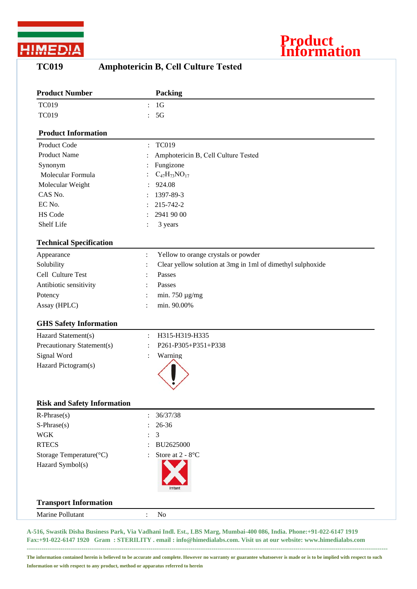

## **Product Information**

## **TC019 Amphotericin B, Cell Culture Tested**

| <b>Product Number</b>              |                | <b>Packing</b>                                             |
|------------------------------------|----------------|------------------------------------------------------------|
| <b>TC019</b>                       | $\ddot{\cdot}$ | 1 <sub>G</sub>                                             |
| <b>TC019</b>                       |                | 5G                                                         |
| <b>Product Information</b>         |                |                                                            |
| Product Code                       | $\ddot{\cdot}$ | <b>TC019</b>                                               |
| <b>Product Name</b>                |                | Amphotericin B, Cell Culture Tested                        |
| Synonym                            |                | Fungizone                                                  |
| Molecular Formula                  |                | $C_{47}H_{73}NO_{17}$                                      |
| Molecular Weight                   |                | 924.08                                                     |
| CAS No.                            |                | 1397-89-3                                                  |
| EC No.                             |                | 215-742-2                                                  |
| HS Code                            |                | 2941 90 00                                                 |
| Shelf Life                         |                | 3 years                                                    |
| <b>Technical Specification</b>     |                |                                                            |
| Appearance                         | $\ddot{\cdot}$ | Yellow to orange crystals or powder                        |
| Solubility                         | $\ddot{\cdot}$ | Clear yellow solution at 3mg in 1ml of dimethyl sulphoxide |
| Cell Culture Test                  |                | Passes                                                     |
| Antibiotic sensitivity             |                | Passes                                                     |
| Potency                            |                | min. 750 $\mu$ g/mg                                        |
| Assay (HPLC)                       | $\bullet$      | min. 90.00%                                                |
| <b>GHS Safety Information</b>      |                |                                                            |
|                                    |                |                                                            |
| Hazard Statement(s)                | $\ddot{\cdot}$ | H315-H319-H335<br>P261-P305+P351+P338                      |
| Precautionary Statement(s)         |                |                                                            |
| Signal Word                        |                | Warning                                                    |
| Hazard Pictogram(s)                |                |                                                            |
|                                    |                |                                                            |
| <b>Risk and Safety Information</b> |                |                                                            |
| $R$ -Phrase $(s)$                  |                | 36/37/38                                                   |
| $S-Phrase(s)$                      |                | 26-36                                                      |
| <b>WGK</b>                         |                | 3                                                          |
| <b>RTECS</b>                       |                | BU2625000                                                  |
| Storage Temperature(°C)            |                | Store at 2 - 8°C                                           |
| Hazard Symbol(s)                   |                |                                                            |
|                                    |                |                                                            |
| <b>Transport Information</b>       |                |                                                            |
| Marine Pollutant                   | $\ddot{\cdot}$ | N <sub>o</sub>                                             |
|                                    |                |                                                            |

**A-516, Swastik Disha Business Park, Via Vadhani Indl. Est., LBS Marg, Mumbai-400 086, India. Phone:+91-022-6147 1919 Fax:+91-022-6147 1920 Gram : STERILITY . email : info@himedialabs.com. Visit us at our website: www.himedialabs.com ----------------------------------------------------------------------------------------------------------------------------------------------------------------------------**

**The information contained herein is believed to be accurate and complete. However no warranty or guarantee whatsoever is made or is to be implied with respect to such Information or with respect to any product, method or apparatus referred to herein**